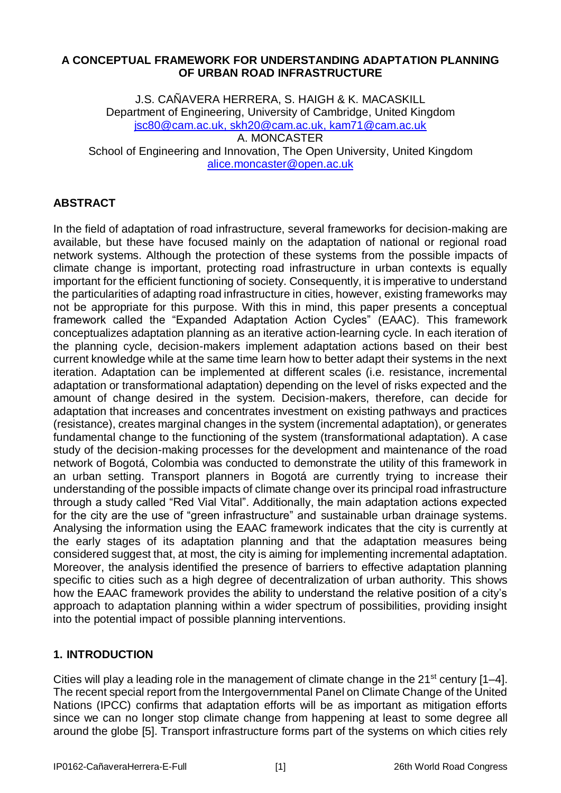### **A CONCEPTUAL FRAMEWORK FOR UNDERSTANDING ADAPTATION PLANNING OF URBAN ROAD INFRASTRUCTURE**

J.S. CAÑAVERA HERRERA, S. HAIGH & K. MACASKILL Department of Engineering, University of Cambridge, United Kingdom [jsc80@cam.ac.uk,](mailto:jsc80@cam.ac.uk) [skh20@cam.ac.uk,](mailto:skh20@cam.ac.uk) kam71@cam.ac.uk A. MONCASTER School of Engineering and Innovation, The Open University, United Kingdom alice.moncaster@open.ac.uk

# **ABSTRACT**

In the field of adaptation of road infrastructure, several frameworks for decision-making are available, but these have focused mainly on the adaptation of national or regional road network systems. Although the protection of these systems from the possible impacts of climate change is important, protecting road infrastructure in urban contexts is equally important for the efficient functioning of society. Consequently, it is imperative to understand the particularities of adapting road infrastructure in cities, however, existing frameworks may not be appropriate for this purpose. With this in mind, this paper presents a conceptual framework called the "Expanded Adaptation Action Cycles" (EAAC). This framework conceptualizes adaptation planning as an iterative action-learning cycle. In each iteration of the planning cycle, decision-makers implement adaptation actions based on their best current knowledge while at the same time learn how to better adapt their systems in the next iteration. Adaptation can be implemented at different scales (i.e. resistance, incremental adaptation or transformational adaptation) depending on the level of risks expected and the amount of change desired in the system. Decision-makers, therefore, can decide for adaptation that increases and concentrates investment on existing pathways and practices (resistance), creates marginal changes in the system (incremental adaptation), or generates fundamental change to the functioning of the system (transformational adaptation). A case study of the decision-making processes for the development and maintenance of the road network of Bogotá, Colombia was conducted to demonstrate the utility of this framework in an urban setting. Transport planners in Bogotá are currently trying to increase their understanding of the possible impacts of climate change over its principal road infrastructure through a study called "Red Vial Vital". Additionally, the main adaptation actions expected for the city are the use of "green infrastructure" and sustainable urban drainage systems. Analysing the information using the EAAC framework indicates that the city is currently at the early stages of its adaptation planning and that the adaptation measures being considered suggest that, at most, the city is aiming for implementing incremental adaptation. Moreover, the analysis identified the presence of barriers to effective adaptation planning specific to cities such as a high degree of decentralization of urban authority. This shows how the EAAC framework provides the ability to understand the relative position of a city's approach to adaptation planning within a wider spectrum of possibilities, providing insight into the potential impact of possible planning interventions.

## **1. INTRODUCTION**

Cities will play a leading role in the management of climate change in the  $21^{st}$  century  $[1-4]$ . The recent special report from the Intergovernmental Panel on Climate Change of the United Nations (IPCC) confirms that adaptation efforts will be as important as mitigation efforts since we can no longer stop climate change from happening at least to some degree all around the globe [5]. Transport infrastructure forms part of the systems on which cities rely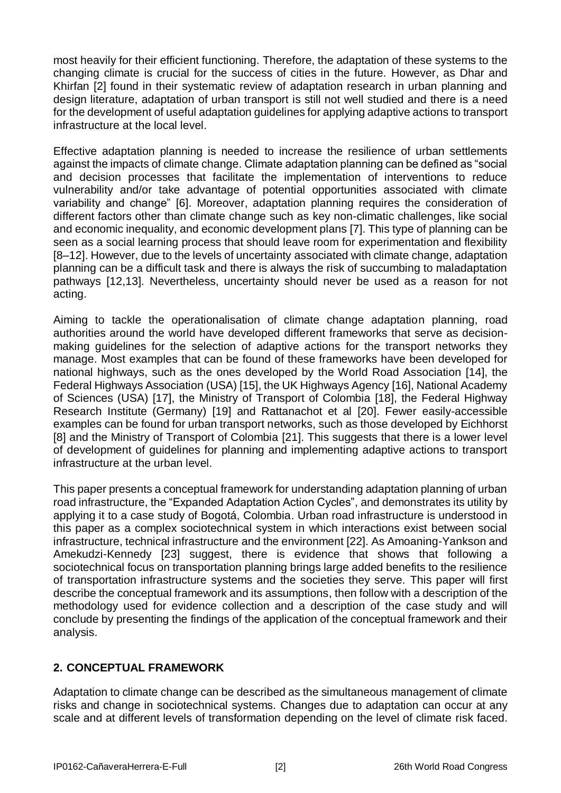most heavily for their efficient functioning. Therefore, the adaptation of these systems to the changing climate is crucial for the success of cities in the future. However, as Dhar and Khirfan [2] found in their systematic review of adaptation research in urban planning and design literature, adaptation of urban transport is still not well studied and there is a need for the development of useful adaptation guidelines for applying adaptive actions to transport infrastructure at the local level.

Effective adaptation planning is needed to increase the resilience of urban settlements against the impacts of climate change. Climate adaptation planning can be defined as "social and decision processes that facilitate the implementation of interventions to reduce vulnerability and/or take advantage of potential opportunities associated with climate variability and change" [6]. Moreover, adaptation planning requires the consideration of different factors other than climate change such as key non-climatic challenges, like social and economic inequality, and economic development plans [7]. This type of planning can be seen as a social learning process that should leave room for experimentation and flexibility [8–12]. However, due to the levels of uncertainty associated with climate change, adaptation planning can be a difficult task and there is always the risk of succumbing to maladaptation pathways [12,13]. Nevertheless, uncertainty should never be used as a reason for not acting.

Aiming to tackle the operationalisation of climate change adaptation planning, road authorities around the world have developed different frameworks that serve as decisionmaking guidelines for the selection of adaptive actions for the transport networks they manage. Most examples that can be found of these frameworks have been developed for national highways, such as the ones developed by the World Road Association [14], the Federal Highways Association (USA) [15], the UK Highways Agency [16], National Academy of Sciences (USA) [17], the Ministry of Transport of Colombia [18], the Federal Highway Research Institute (Germany) [19] and Rattanachot et al [20]. Fewer easily-accessible examples can be found for urban transport networks, such as those developed by Eichhorst [8] and the Ministry of Transport of Colombia [21]. This suggests that there is a lower level of development of guidelines for planning and implementing adaptive actions to transport infrastructure at the urban level.

This paper presents a conceptual framework for understanding adaptation planning of urban road infrastructure, the "Expanded Adaptation Action Cycles", and demonstrates its utility by applying it to a case study of Bogotá, Colombia. Urban road infrastructure is understood in this paper as a complex sociotechnical system in which interactions exist between social infrastructure, technical infrastructure and the environment [22]. As Amoaning-Yankson and Amekudzi-Kennedy [23] suggest, there is evidence that shows that following a sociotechnical focus on transportation planning brings large added benefits to the resilience of transportation infrastructure systems and the societies they serve. This paper will first describe the conceptual framework and its assumptions, then follow with a description of the methodology used for evidence collection and a description of the case study and will conclude by presenting the findings of the application of the conceptual framework and their analysis.

## **2. CONCEPTUAL FRAMEWORK**

Adaptation to climate change can be described as the simultaneous management of climate risks and change in sociotechnical systems. Changes due to adaptation can occur at any scale and at different levels of transformation depending on the level of climate risk faced.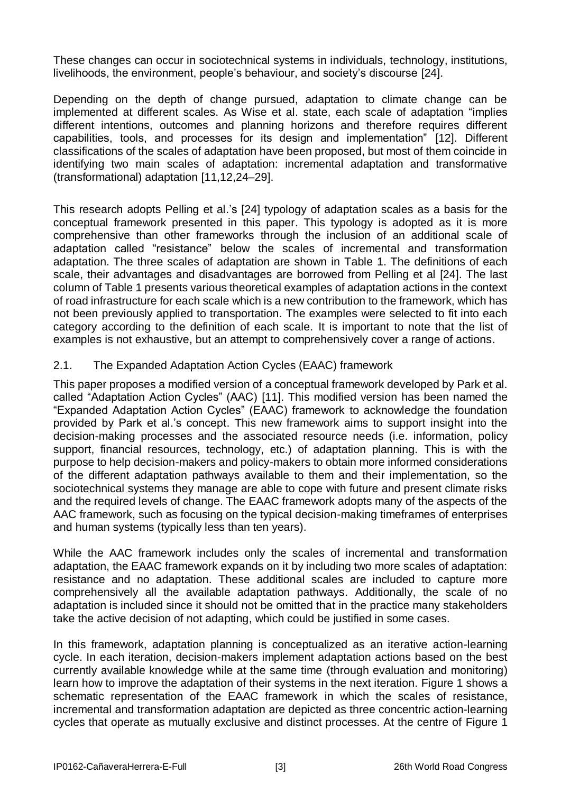These changes can occur in sociotechnical systems in individuals, technology, institutions, livelihoods, the environment, people's behaviour, and society's discourse [24].

Depending on the depth of change pursued, adaptation to climate change can be implemented at different scales. As Wise et al. state, each scale of adaptation "implies different intentions, outcomes and planning horizons and therefore requires different capabilities, tools, and processes for its design and implementation" [12]. Different classifications of the scales of adaptation have been proposed, but most of them coincide in identifying two main scales of adaptation: incremental adaptation and transformative (transformational) adaptation [11,12,24–29].

This research adopts Pelling et al.'s [24] typology of adaptation scales as a basis for the conceptual framework presented in this paper. This typology is adopted as it is more comprehensive than other frameworks through the inclusion of an additional scale of adaptation called "resistance" below the scales of incremental and transformation adaptation. The three scales of adaptation are shown in [Table 1.](#page-3-0) The definitions of each scale, their advantages and disadvantages are borrowed from Pelling et al [24]. The last column of [Table 1](#page-3-0) presents various theoretical examples of adaptation actions in the context of road infrastructure for each scale which is a new contribution to the framework, which has not been previously applied to transportation. The examples were selected to fit into each category according to the definition of each scale. It is important to note that the list of examples is not exhaustive, but an attempt to comprehensively cover a range of actions.

## 2.1. The Expanded Adaptation Action Cycles (EAAC) framework

This paper proposes a modified version of a conceptual framework developed by Park et al. called "Adaptation Action Cycles" (AAC) [11]. This modified version has been named the "Expanded Adaptation Action Cycles" (EAAC) framework to acknowledge the foundation provided by Park et al.'s concept. This new framework aims to support insight into the decision-making processes and the associated resource needs (i.e. information, policy support, financial resources, technology, etc.) of adaptation planning. This is with the purpose to help decision-makers and policy-makers to obtain more informed considerations of the different adaptation pathways available to them and their implementation, so the sociotechnical systems they manage are able to cope with future and present climate risks and the required levels of change. The EAAC framework adopts many of the aspects of the AAC framework, such as focusing on the typical decision-making timeframes of enterprises and human systems (typically less than ten years).

While the AAC framework includes only the scales of incremental and transformation adaptation, the EAAC framework expands on it by including two more scales of adaptation: resistance and no adaptation. These additional scales are included to capture more comprehensively all the available adaptation pathways. Additionally, the scale of no adaptation is included since it should not be omitted that in the practice many stakeholders take the active decision of not adapting, which could be justified in some cases.

In this framework, adaptation planning is conceptualized as an iterative action-learning cycle. In each iteration, decision-makers implement adaptation actions based on the best currently available knowledge while at the same time (through evaluation and monitoring) learn how to improve the adaptation of their systems in the next iteration. [Figure 1](#page-4-0) shows a schematic representation of the EAAC framework in which the scales of resistance, incremental and transformation adaptation are depicted as three concentric action-learning cycles that operate as mutually exclusive and distinct processes. At the centre of [Figure 1](#page-4-0)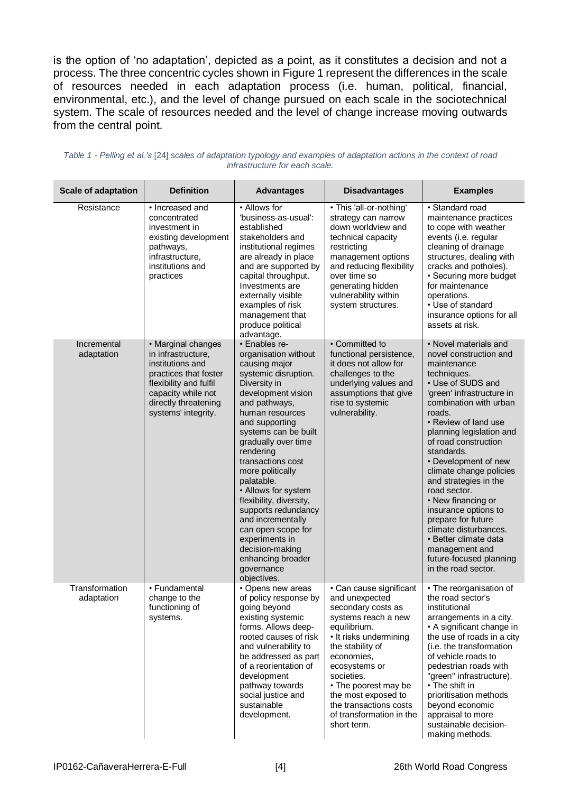is the option of 'no adaptation', depicted as a point, as it constitutes a decision and not a process. The three concentric cycles shown in [Figure 1](#page-4-0) represent the differences in the scale of resources needed in each adaptation process (i.e. human, political, financial, environmental, etc.), and the level of change pursued on each scale in the sociotechnical system. The scale of resources needed and the level of change increase moving outwards from the central point.

| <b>Scale of adaptation</b>   | <b>Definition</b>                                                                                                                                                                    | <b>Advantages</b>                                                                                                                                                                                                                                                                                                                                                                                                                                                                                        | <b>Disadvantages</b>                                                                                                                                                                                                                                                                                                  | <b>Examples</b>                                                                                                                                                                                                                                                                                                                                                                                                                                                                                                                                     |
|------------------------------|--------------------------------------------------------------------------------------------------------------------------------------------------------------------------------------|----------------------------------------------------------------------------------------------------------------------------------------------------------------------------------------------------------------------------------------------------------------------------------------------------------------------------------------------------------------------------------------------------------------------------------------------------------------------------------------------------------|-----------------------------------------------------------------------------------------------------------------------------------------------------------------------------------------------------------------------------------------------------------------------------------------------------------------------|-----------------------------------------------------------------------------------------------------------------------------------------------------------------------------------------------------------------------------------------------------------------------------------------------------------------------------------------------------------------------------------------------------------------------------------------------------------------------------------------------------------------------------------------------------|
| Resistance                   | • Increased and<br>concentrated<br>investment in<br>existing development<br>pathways,<br>infrastructure,<br>institutions and<br>practices                                            | • Allows for<br>'business-as-usual':<br>established<br>stakeholders and<br>institutional regimes<br>are already in place<br>and are supported by<br>capital throughput.<br>Investments are<br>externally visible<br>examples of risk<br>management that<br>produce political<br>advantage.                                                                                                                                                                                                               | · This 'all-or-nothing'<br>strategy can narrow<br>down worldview and<br>technical capacity<br>restricting<br>management options<br>and reducing flexibility<br>over time so<br>generating hidden<br>vulnerability within<br>system structures.                                                                        | · Standard road<br>maintenance practices<br>to cope with weather<br>events (i.e. regular<br>cleaning of drainage<br>structures, dealing with<br>cracks and potholes).<br>• Securing more budget<br>for maintenance<br>operations.<br>• Use of standard<br>insurance options for all<br>assets at risk.                                                                                                                                                                                                                                              |
| Incremental<br>adaptation    | • Marginal changes<br>in infrastructure,<br>institutions and<br>practices that foster<br>flexibility and fulfil<br>capacity while not<br>directly threatening<br>systems' integrity. | • Enables re-<br>organisation without<br>causing major<br>systemic disruption.<br>Diversity in<br>development vision<br>and pathways,<br>human resources<br>and supporting<br>systems can be built<br>gradually over time<br>rendering<br>transactions cost<br>more politically<br>palatable.<br>• Allows for system<br>flexibility, diversity,<br>supports redundancy<br>and incrementally<br>can open scope for<br>experiments in<br>decision-making<br>enhancing broader<br>governance<br>objectives. | • Committed to<br>functional persistence,<br>it does not allow for<br>challenges to the<br>underlying values and<br>assumptions that give<br>rise to systemic<br>vulnerability.                                                                                                                                       | • Novel materials and<br>novel construction and<br>maintenance<br>techniques.<br>• Use of SUDS and<br>'green' infrastructure in<br>combination with urban<br>roads.<br>• Review of land use<br>planning legislation and<br>of road construction<br>standards.<br>• Development of new<br>climate change policies<br>and strategies in the<br>road sector.<br>• New financing or<br>insurance options to<br>prepare for future<br>climate disturbances.<br>• Better climate data<br>management and<br>future-focused planning<br>in the road sector. |
| Transformation<br>adaptation | • Fundamental<br>change to the<br>functioning of<br>systems.                                                                                                                         | • Opens new areas<br>of policy response by<br>going beyond<br>existing systemic<br>forms. Allows deep-<br>rooted causes of risk<br>and vulnerability to<br>be addressed as part<br>of a reorientation of<br>development<br>pathway towards<br>social justice and<br>sustainable<br>development.                                                                                                                                                                                                          | • Can cause significant<br>and unexpected<br>secondary costs as<br>systems reach a new<br>equilibrium.<br>• It risks undermining<br>the stability of<br>economies,<br>ecosystems or<br>societies.<br>• The poorest may be<br>the most exposed to<br>the transactions costs<br>of transformation in the<br>short term. | • The reorganisation of<br>the road sector's<br>institutional<br>arrangements in a city.<br>• A significant change in<br>the use of roads in a city<br>(i.e. the transformation<br>of vehicle roads to<br>pedestrian roads with<br>"green" infrastructure).<br>• The shift in<br>prioritisation methods<br>beyond economic<br>appraisal to more<br>sustainable decision-<br>making methods.                                                                                                                                                         |

<span id="page-3-0"></span>

| Table 1 - Pelling et al.'s [24] scales of adaptation typology and examples of adaptation actions in the context of road |
|-------------------------------------------------------------------------------------------------------------------------|
| infrastructure for each scale.                                                                                          |

 $\mathbf{L}$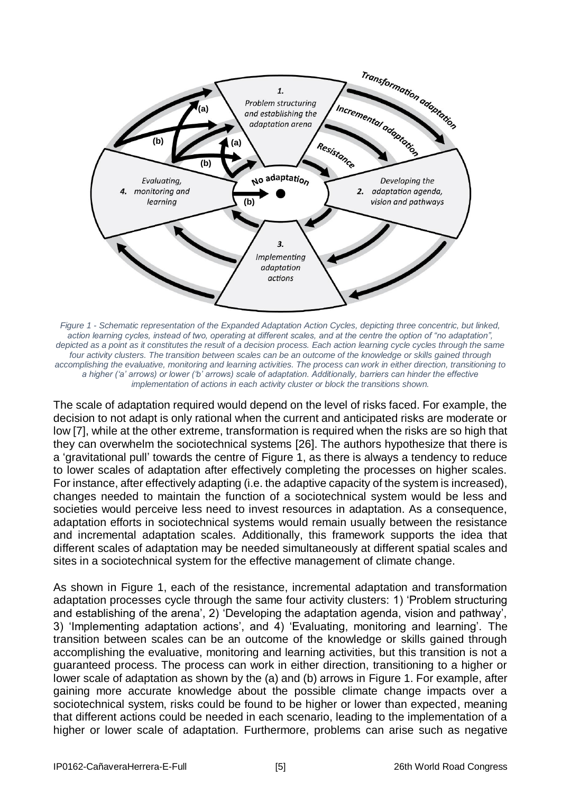

<span id="page-4-0"></span>*Figure 1 - Schematic representation of the Expanded Adaptation Action Cycles, depicting three concentric, but linked, action learning cycles, instead of two, operating at different scales, and at the centre the option of "no adaptation", depicted as a point as it constitutes the result of a decision process. Each action learning cycle cycles through the same four activity clusters. The transition between scales can be an outcome of the knowledge or skills gained through accomplishing the evaluative, monitoring and learning activities. The process can work in either direction, transitioning to a higher ('a' arrows) or lower ('b' arrows) scale of adaptation. Additionally, barriers can hinder the effective implementation of actions in each activity cluster or block the transitions shown.*

The scale of adaptation required would depend on the level of risks faced. For example, the decision to not adapt is only rational when the current and anticipated risks are moderate or low [7], while at the other extreme, transformation is required when the risks are so high that they can overwhelm the sociotechnical systems [26]. The authors hypothesize that there is a 'gravitational pull' towards the centre of [Figure 1,](#page-4-0) as there is always a tendency to reduce to lower scales of adaptation after effectively completing the processes on higher scales. For instance, after effectively adapting (i.e. the adaptive capacity of the system is increased), changes needed to maintain the function of a sociotechnical system would be less and societies would perceive less need to invest resources in adaptation. As a consequence, adaptation efforts in sociotechnical systems would remain usually between the resistance and incremental adaptation scales. Additionally, this framework supports the idea that different scales of adaptation may be needed simultaneously at different spatial scales and sites in a sociotechnical system for the effective management of climate change.

As shown in [Figure 1,](#page-4-0) each of the resistance, incremental adaptation and transformation adaptation processes cycle through the same four activity clusters: 1) 'Problem structuring and establishing of the arena', 2) 'Developing the adaptation agenda, vision and pathway', 3) 'Implementing adaptation actions', and 4) 'Evaluating, monitoring and learning'. The transition between scales can be an outcome of the knowledge or skills gained through accomplishing the evaluative, monitoring and learning activities, but this transition is not a guaranteed process. The process can work in either direction, transitioning to a higher or lower scale of adaptation as shown by the (a) and (b) arrows in [Figure 1.](#page-4-0) For example, after gaining more accurate knowledge about the possible climate change impacts over a sociotechnical system, risks could be found to be higher or lower than expected, meaning that different actions could be needed in each scenario, leading to the implementation of a higher or lower scale of adaptation. Furthermore, problems can arise such as negative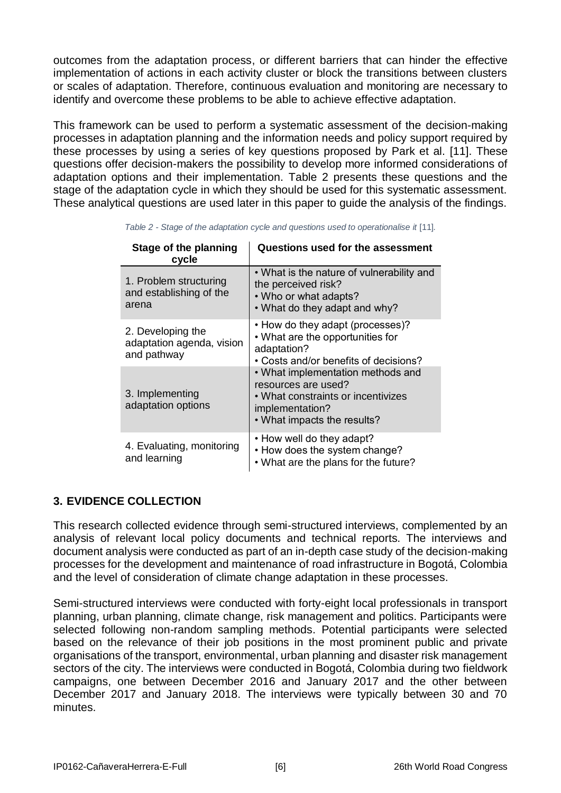outcomes from the adaptation process, or different barriers that can hinder the effective implementation of actions in each activity cluster or block the transitions between clusters or scales of adaptation. Therefore, continuous evaluation and monitoring are necessary to identify and overcome these problems to be able to achieve effective adaptation.

This framework can be used to perform a systematic assessment of the decision-making processes in adaptation planning and the information needs and policy support required by these processes by using a series of key questions proposed by Park et al. [11]. These questions offer decision-makers the possibility to develop more informed considerations of adaptation options and their implementation. [Table 2](#page-5-0) presents these questions and the stage of the adaptation cycle in which they should be used for this systematic assessment. These analytical questions are used later in this paper to guide the analysis of the findings.

<span id="page-5-0"></span>

| Stage of the planning<br>cycle                                | <b>Questions used for the assessment</b>                                                                                                         |  |
|---------------------------------------------------------------|--------------------------------------------------------------------------------------------------------------------------------------------------|--|
| 1. Problem structuring<br>and establishing of the<br>arena    | • What is the nature of vulnerability and<br>the perceived risk?<br>• Who or what adapts?<br>• What do they adapt and why?                       |  |
| 2. Developing the<br>adaptation agenda, vision<br>and pathway | • How do they adapt (processes)?<br>• What are the opportunities for<br>adaptation?<br>• Costs and/or benefits of decisions?                     |  |
| 3. Implementing<br>adaptation options                         | • What implementation methods and<br>resources are used?<br>• What constraints or incentivizes<br>implementation?<br>• What impacts the results? |  |
| 4. Evaluating, monitoring<br>and learning                     | • How well do they adapt?<br>• How does the system change?<br>• What are the plans for the future?                                               |  |

*Table 2 - Stage of the adaptation cycle and questions used to operationalise it* [11]*.*

## **3. EVIDENCE COLLECTION**

This research collected evidence through semi-structured interviews, complemented by an analysis of relevant local policy documents and technical reports. The interviews and document analysis were conducted as part of an in-depth case study of the decision-making processes for the development and maintenance of road infrastructure in Bogotá, Colombia and the level of consideration of climate change adaptation in these processes.

Semi-structured interviews were conducted with forty-eight local professionals in transport planning, urban planning, climate change, risk management and politics. Participants were selected following non-random sampling methods. Potential participants were selected based on the relevance of their job positions in the most prominent public and private organisations of the transport, environmental, urban planning and disaster risk management sectors of the city. The interviews were conducted in Bogotá, Colombia during two fieldwork campaigns, one between December 2016 and January 2017 and the other between December 2017 and January 2018. The interviews were typically between 30 and 70 minutes.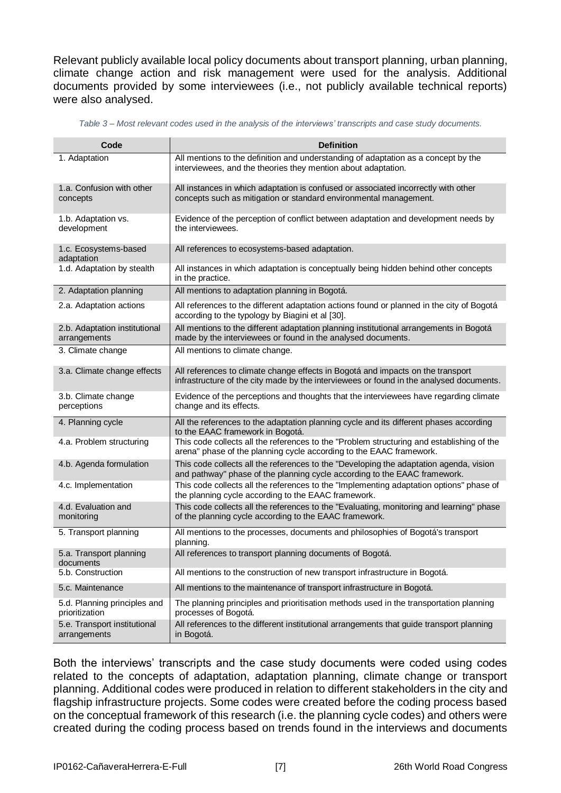Relevant publicly available local policy documents about transport planning, urban planning, climate change action and risk management were used for the analysis. Additional documents provided by some interviewees (i.e., not publicly available technical reports) were also analysed.

<span id="page-6-0"></span>

| Code                                           | <b>Definition</b>                                                                                                                                                          |
|------------------------------------------------|----------------------------------------------------------------------------------------------------------------------------------------------------------------------------|
| 1. Adaptation                                  | All mentions to the definition and understanding of adaptation as a concept by the<br>interviewees, and the theories they mention about adaptation.                        |
| 1.a. Confusion with other<br>concepts          | All instances in which adaptation is confused or associated incorrectly with other<br>concepts such as mitigation or standard environmental management.                    |
| 1.b. Adaptation vs.<br>development             | Evidence of the perception of conflict between adaptation and development needs by<br>the interviewees.                                                                    |
| 1.c. Ecosystems-based<br>adaptation            | All references to ecosystems-based adaptation.                                                                                                                             |
| 1.d. Adaptation by stealth                     | All instances in which adaptation is conceptually being hidden behind other concepts<br>in the practice.                                                                   |
| 2. Adaptation planning                         | All mentions to adaptation planning in Bogotá.                                                                                                                             |
| 2.a. Adaptation actions                        | All references to the different adaptation actions found or planned in the city of Bogotá<br>according to the typology by Biagini et al [30].                              |
| 2.b. Adaptation institutional<br>arrangements  | All mentions to the different adaptation planning institutional arrangements in Bogotá<br>made by the interviewees or found in the analysed documents.                     |
| 3. Climate change                              | All mentions to climate change.                                                                                                                                            |
| 3.a. Climate change effects                    | All references to climate change effects in Bogotá and impacts on the transport<br>infrastructure of the city made by the interviewees or found in the analysed documents. |
| 3.b. Climate change<br>perceptions             | Evidence of the perceptions and thoughts that the interviewees have regarding climate<br>change and its effects.                                                           |
| 4. Planning cycle                              | All the references to the adaptation planning cycle and its different phases according<br>to the EAAC framework in Bogotá.                                                 |
| 4.a. Problem structuring                       | This code collects all the references to the "Problem structuring and establishing of the<br>arena" phase of the planning cycle according to the EAAC framework.           |
| 4.b. Agenda formulation                        | This code collects all the references to the "Developing the adaptation agenda, vision<br>and pathway" phase of the planning cycle according to the EAAC framework.        |
| 4.c. Implementation                            | This code collects all the references to the "Implementing adaptation options" phase of<br>the planning cycle according to the EAAC framework.                             |
| 4.d. Evaluation and<br>monitoring              | This code collects all the references to the "Evaluating, monitoring and learning" phase<br>of the planning cycle according to the EAAC framework.                         |
| 5. Transport planning                          | All mentions to the processes, documents and philosophies of Bogotá's transport<br>planning.                                                                               |
| 5.a. Transport planning<br>documents           | All references to transport planning documents of Bogotá.                                                                                                                  |
| 5.b. Construction                              | All mentions to the construction of new transport infrastructure in Bogotá.                                                                                                |
| 5.c. Maintenance                               | All mentions to the maintenance of transport infrastructure in Bogotá.                                                                                                     |
| 5.d. Planning principles and<br>prioritization | The planning principles and prioritisation methods used in the transportation planning<br>processes of Bogotá.                                                             |
| 5.e. Transport institutional<br>arrangements   | All references to the different institutional arrangements that guide transport planning<br>in Bogotá.                                                                     |

*Table 3 – Most relevant codes used in the analysis of the interviews' transcripts and case study documents.*

Both the interviews' transcripts and the case study documents were coded using codes related to the concepts of adaptation, adaptation planning, climate change or transport planning. Additional codes were produced in relation to different stakeholders in the city and flagship infrastructure projects. Some codes were created before the coding process based on the conceptual framework of this research (i.e. the planning cycle codes) and others were created during the coding process based on trends found in the interviews and documents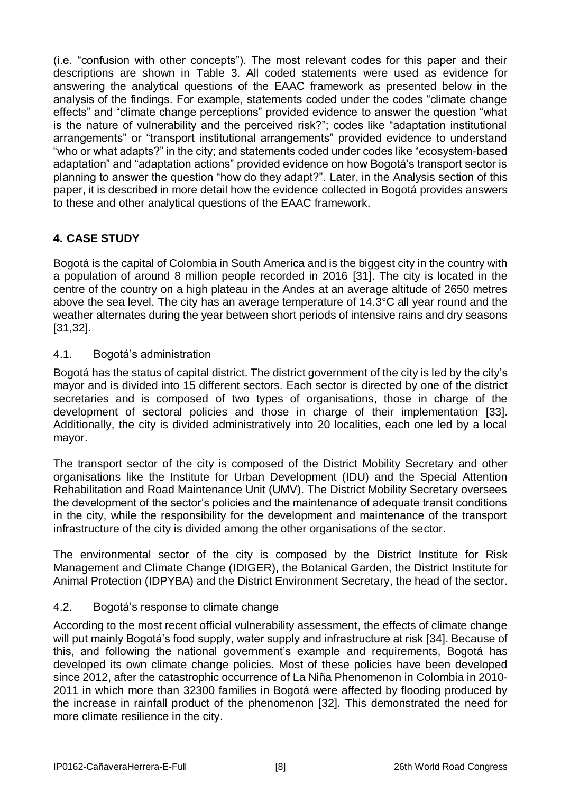(i.e. "confusion with other concepts"). The most relevant codes for this paper and their descriptions are shown in [Table 3.](#page-6-0) All coded statements were used as evidence for answering the analytical questions of the EAAC framework as presented below in the analysis of the findings. For example, statements coded under the codes "climate change effects" and "climate change perceptions" provided evidence to answer the question "what is the nature of vulnerability and the perceived risk?"; codes like "adaptation institutional arrangements" or "transport institutional arrangements" provided evidence to understand "who or what adapts?" in the city; and statements coded under codes like "ecosystem-based adaptation" and "adaptation actions" provided evidence on how Bogotá's transport sector is planning to answer the question "how do they adapt?". Later, in the Analysis section of this paper, it is described in more detail how the evidence collected in Bogotá provides answers to these and other analytical questions of the EAAC framework.

# **4. CASE STUDY**

Bogotá is the capital of Colombia in South America and is the biggest city in the country with a population of around 8 million people recorded in 2016 [31]. The city is located in the centre of the country on a high plateau in the Andes at an average altitude of 2650 metres above the sea level. The city has an average temperature of 14.3°C all year round and the weather alternates during the year between short periods of intensive rains and dry seasons [31,32].

### 4.1. Bogotá's administration

Bogotá has the status of capital district. The district government of the city is led by the city's mayor and is divided into 15 different sectors. Each sector is directed by one of the district secretaries and is composed of two types of organisations, those in charge of the development of sectoral policies and those in charge of their implementation [33]. Additionally, the city is divided administratively into 20 localities, each one led by a local mayor.

The transport sector of the city is composed of the District Mobility Secretary and other organisations like the Institute for Urban Development (IDU) and the Special Attention Rehabilitation and Road Maintenance Unit (UMV). The District Mobility Secretary oversees the development of the sector's policies and the maintenance of adequate transit conditions in the city, while the responsibility for the development and maintenance of the transport infrastructure of the city is divided among the other organisations of the sector.

The environmental sector of the city is composed by the District Institute for Risk Management and Climate Change (IDIGER), the Botanical Garden, the District Institute for Animal Protection (IDPYBA) and the District Environment Secretary, the head of the sector.

## 4.2. Bogotá's response to climate change

According to the most recent official vulnerability assessment, the effects of climate change will put mainly Bogotá's food supply, water supply and infrastructure at risk [34]. Because of this, and following the national government's example and requirements, Bogotá has developed its own climate change policies. Most of these policies have been developed since 2012, after the catastrophic occurrence of La Niña Phenomenon in Colombia in 2010- 2011 in which more than 32300 families in Bogotá were affected by flooding produced by the increase in rainfall product of the phenomenon [32]. This demonstrated the need for more climate resilience in the city.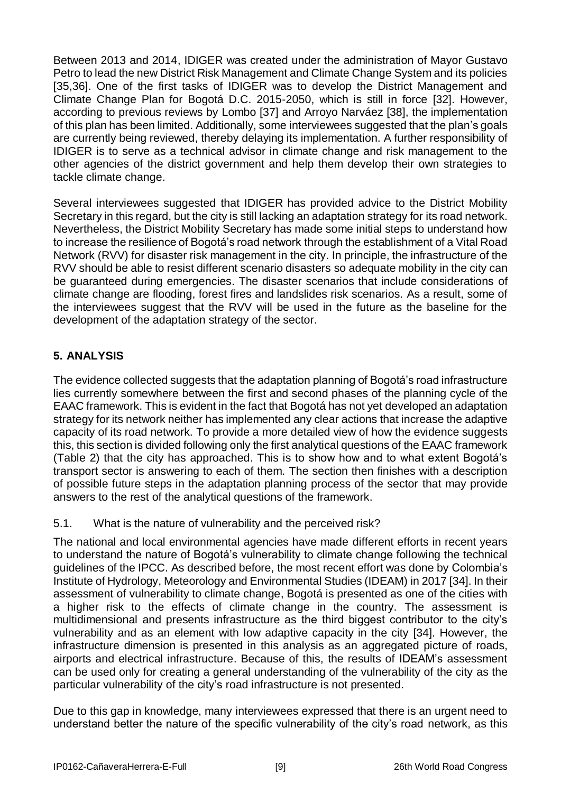Between 2013 and 2014, IDIGER was created under the administration of Mayor Gustavo Petro to lead the new District Risk Management and Climate Change System and its policies [35,36]. One of the first tasks of IDIGER was to develop the District Management and Climate Change Plan for Bogotá D.C. 2015-2050, which is still in force [32]. However, according to previous reviews by Lombo [37] and Arroyo Narváez [38], the implementation of this plan has been limited. Additionally, some interviewees suggested that the plan's goals are currently being reviewed, thereby delaying its implementation. A further responsibility of IDIGER is to serve as a technical advisor in climate change and risk management to the other agencies of the district government and help them develop their own strategies to tackle climate change.

Several interviewees suggested that IDIGER has provided advice to the District Mobility Secretary in this regard, but the city is still lacking an adaptation strategy for its road network. Nevertheless, the District Mobility Secretary has made some initial steps to understand how to increase the resilience of Bogotá's road network through the establishment of a Vital Road Network (RVV) for disaster risk management in the city. In principle, the infrastructure of the RVV should be able to resist different scenario disasters so adequate mobility in the city can be guaranteed during emergencies. The disaster scenarios that include considerations of climate change are flooding, forest fires and landslides risk scenarios. As a result, some of the interviewees suggest that the RVV will be used in the future as the baseline for the development of the adaptation strategy of the sector.

# <span id="page-8-0"></span>**5. ANALYSIS**

The evidence collected suggests that the adaptation planning of Bogotá's road infrastructure lies currently somewhere between the first and second phases of the planning cycle of the EAAC framework. This is evident in the fact that Bogotá has not yet developed an adaptation strategy for its network neither has implemented any clear actions that increase the adaptive capacity of its road network. To provide a more detailed view of how the evidence suggests this, this section is divided following only the first analytical questions of the EAAC framework [\(Table 2\)](#page-5-0) that the city has approached. This is to show how and to what extent Bogotá's transport sector is answering to each of them. The section then finishes with a description of possible future steps in the adaptation planning process of the sector that may provide answers to the rest of the analytical questions of the framework.

5.1. What is the nature of vulnerability and the perceived risk?

The national and local environmental agencies have made different efforts in recent years to understand the nature of Bogotá's vulnerability to climate change following the technical guidelines of the IPCC. As described before, the most recent effort was done by Colombia's Institute of Hydrology, Meteorology and Environmental Studies (IDEAM) in 2017 [34]. In their assessment of vulnerability to climate change, Bogotá is presented as one of the cities with a higher risk to the effects of climate change in the country. The assessment is multidimensional and presents infrastructure as the third biggest contributor to the city's vulnerability and as an element with low adaptive capacity in the city [34]. However, the infrastructure dimension is presented in this analysis as an aggregated picture of roads, airports and electrical infrastructure. Because of this, the results of IDEAM's assessment can be used only for creating a general understanding of the vulnerability of the city as the particular vulnerability of the city's road infrastructure is not presented.

Due to this gap in knowledge, many interviewees expressed that there is an urgent need to understand better the nature of the specific vulnerability of the city's road network, as this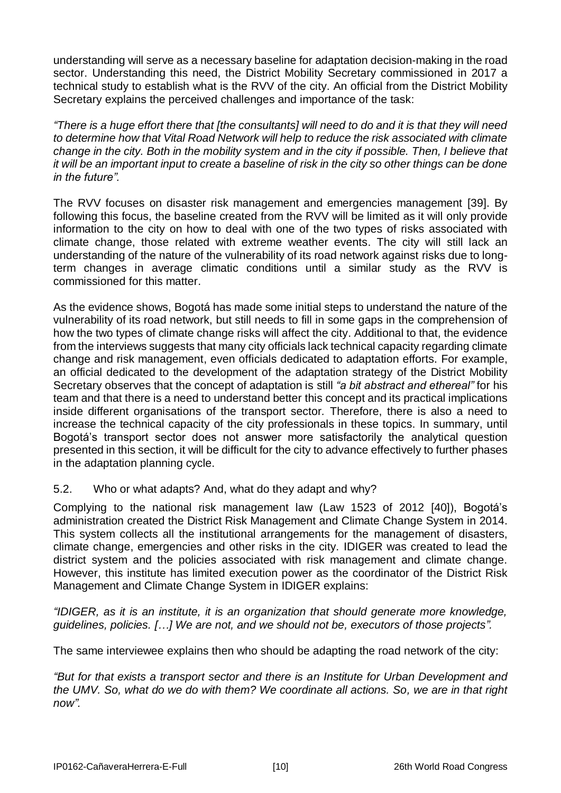understanding will serve as a necessary baseline for adaptation decision-making in the road sector. Understanding this need, the District Mobility Secretary commissioned in 2017 a technical study to establish what is the RVV of the city. An official from the District Mobility Secretary explains the perceived challenges and importance of the task:

*"There is a huge effort there that [the consultants] will need to do and it is that they will need to determine how that Vital Road Network will help to reduce the risk associated with climate change in the city. Both in the mobility system and in the city if possible. Then, I believe that it will be an important input to create a baseline of risk in the city so other things can be done in the future".*

The RVV focuses on disaster risk management and emergencies management [39]. By following this focus, the baseline created from the RVV will be limited as it will only provide information to the city on how to deal with one of the two types of risks associated with climate change, those related with extreme weather events. The city will still lack an understanding of the nature of the vulnerability of its road network against risks due to longterm changes in average climatic conditions until a similar study as the RVV is commissioned for this matter.

As the evidence shows, Bogotá has made some initial steps to understand the nature of the vulnerability of its road network, but still needs to fill in some gaps in the comprehension of how the two types of climate change risks will affect the city. Additional to that, the evidence from the interviews suggests that many city officials lack technical capacity regarding climate change and risk management, even officials dedicated to adaptation efforts. For example, an official dedicated to the development of the adaptation strategy of the District Mobility Secretary observes that the concept of adaptation is still *"a bit abstract and ethereal"* for his team and that there is a need to understand better this concept and its practical implications inside different organisations of the transport sector*.* Therefore, there is also a need to increase the technical capacity of the city professionals in these topics. In summary, until Bogotá's transport sector does not answer more satisfactorily the analytical question presented in this section, it will be difficult for the city to advance effectively to further phases in the adaptation planning cycle.

5.2. Who or what adapts? And, what do they adapt and why?

Complying to the national risk management law (Law 1523 of 2012 [40]), Bogotá's administration created the District Risk Management and Climate Change System in 2014. This system collects all the institutional arrangements for the management of disasters, climate change, emergencies and other risks in the city. IDIGER was created to lead the district system and the policies associated with risk management and climate change. However, this institute has limited execution power as the coordinator of the District Risk Management and Climate Change System in IDIGER explains:

*"IDIGER, as it is an institute, it is an organization that should generate more knowledge, guidelines, policies. […] We are not, and we should not be, executors of those projects".*

The same interviewee explains then who should be adapting the road network of the city:

*"But for that exists a transport sector and there is an Institute for Urban Development and the UMV. So, what do we do with them? We coordinate all actions. So, we are in that right now".*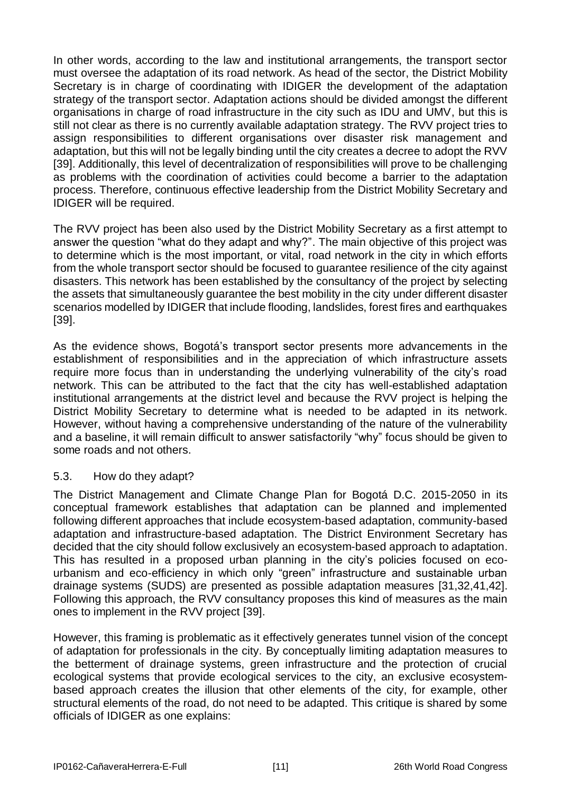In other words, according to the law and institutional arrangements, the transport sector must oversee the adaptation of its road network. As head of the sector, the District Mobility Secretary is in charge of coordinating with IDIGER the development of the adaptation strategy of the transport sector. Adaptation actions should be divided amongst the different organisations in charge of road infrastructure in the city such as IDU and UMV, but this is still not clear as there is no currently available adaptation strategy. The RVV project tries to assign responsibilities to different organisations over disaster risk management and adaptation, but this will not be legally binding until the city creates a decree to adopt the RVV [39]. Additionally, this level of decentralization of responsibilities will prove to be challenging as problems with the coordination of activities could become a barrier to the adaptation process. Therefore, continuous effective leadership from the District Mobility Secretary and IDIGER will be required.

The RVV project has been also used by the District Mobility Secretary as a first attempt to answer the question "what do they adapt and why?". The main objective of this project was to determine which is the most important, or vital, road network in the city in which efforts from the whole transport sector should be focused to guarantee resilience of the city against disasters. This network has been established by the consultancy of the project by selecting the assets that simultaneously guarantee the best mobility in the city under different disaster scenarios modelled by IDIGER that include flooding, landslides, forest fires and earthquakes [39].

As the evidence shows, Bogotá's transport sector presents more advancements in the establishment of responsibilities and in the appreciation of which infrastructure assets require more focus than in understanding the underlying vulnerability of the city's road network. This can be attributed to the fact that the city has well-established adaptation institutional arrangements at the district level and because the RVV project is helping the District Mobility Secretary to determine what is needed to be adapted in its network. However, without having a comprehensive understanding of the nature of the vulnerability and a baseline, it will remain difficult to answer satisfactorily "why" focus should be given to some roads and not others.

### 5.3. How do they adapt?

The District Management and Climate Change Plan for Bogotá D.C. 2015-2050 in its conceptual framework establishes that adaptation can be planned and implemented following different approaches that include ecosystem-based adaptation, community-based adaptation and infrastructure-based adaptation. The District Environment Secretary has decided that the city should follow exclusively an ecosystem-based approach to adaptation. This has resulted in a proposed urban planning in the city's policies focused on ecourbanism and eco-efficiency in which only "green" infrastructure and sustainable urban drainage systems (SUDS) are presented as possible adaptation measures [31,32,41,42]. Following this approach, the RVV consultancy proposes this kind of measures as the main ones to implement in the RVV project [39].

However, this framing is problematic as it effectively generates tunnel vision of the concept of adaptation for professionals in the city. By conceptually limiting adaptation measures to the betterment of drainage systems, green infrastructure and the protection of crucial ecological systems that provide ecological services to the city, an exclusive ecosystembased approach creates the illusion that other elements of the city, for example, other structural elements of the road, do not need to be adapted. This critique is shared by some officials of IDIGER as one explains: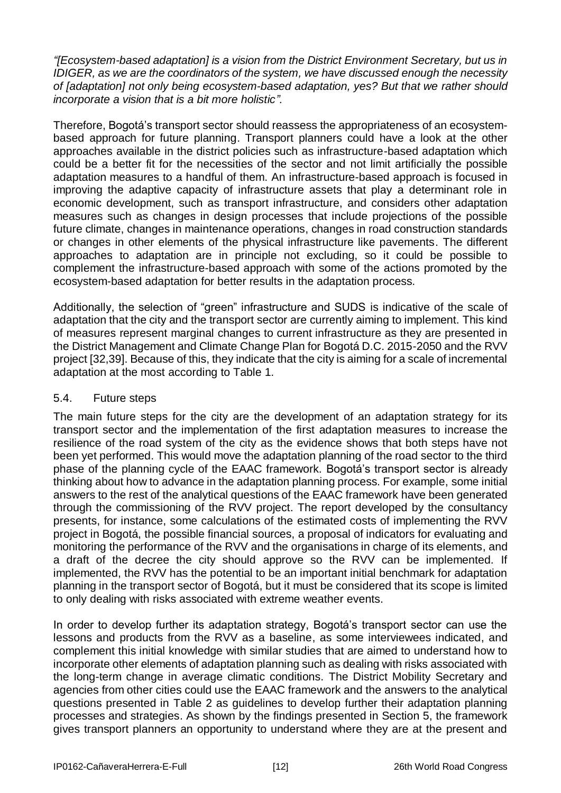*"[Ecosystem-based adaptation] is a vision from the District Environment Secretary, but us in IDIGER, as we are the coordinators of the system, we have discussed enough the necessity of [adaptation] not only being ecosystem-based adaptation, yes? But that we rather should incorporate a vision that is a bit more holistic".* 

Therefore, Bogotá's transport sector should reassess the appropriateness of an ecosystembased approach for future planning. Transport planners could have a look at the other approaches available in the district policies such as infrastructure-based adaptation which could be a better fit for the necessities of the sector and not limit artificially the possible adaptation measures to a handful of them. An infrastructure-based approach is focused in improving the adaptive capacity of infrastructure assets that play a determinant role in economic development, such as transport infrastructure, and considers other adaptation measures such as changes in design processes that include projections of the possible future climate, changes in maintenance operations, changes in road construction standards or changes in other elements of the physical infrastructure like pavements. The different approaches to adaptation are in principle not excluding, so it could be possible to complement the infrastructure-based approach with some of the actions promoted by the ecosystem-based adaptation for better results in the adaptation process.

Additionally, the selection of "green" infrastructure and SUDS is indicative of the scale of adaptation that the city and the transport sector are currently aiming to implement. This kind of measures represent marginal changes to current infrastructure as they are presented in the District Management and Climate Change Plan for Bogotá D.C. 2015-2050 and the RVV project [32,39]. Because of this, they indicate that the city is aiming for a scale of incremental adaptation at the most according to [Table 1.](#page-3-0)

### 5.4. Future steps

The main future steps for the city are the development of an adaptation strategy for its transport sector and the implementation of the first adaptation measures to increase the resilience of the road system of the city as the evidence shows that both steps have not been yet performed. This would move the adaptation planning of the road sector to the third phase of the planning cycle of the EAAC framework. Bogotá's transport sector is already thinking about how to advance in the adaptation planning process. For example, some initial answers to the rest of the analytical questions of the EAAC framework have been generated through the commissioning of the RVV project. The report developed by the consultancy presents, for instance, some calculations of the estimated costs of implementing the RVV project in Bogotá, the possible financial sources, a proposal of indicators for evaluating and monitoring the performance of the RVV and the organisations in charge of its elements, and a draft of the decree the city should approve so the RVV can be implemented. If implemented, the RVV has the potential to be an important initial benchmark for adaptation planning in the transport sector of Bogotá, but it must be considered that its scope is limited to only dealing with risks associated with extreme weather events.

In order to develop further its adaptation strategy, Bogotá's transport sector can use the lessons and products from the RVV as a baseline, as some interviewees indicated, and complement this initial knowledge with similar studies that are aimed to understand how to incorporate other elements of adaptation planning such as dealing with risks associated with the long-term change in average climatic conditions. The District Mobility Secretary and agencies from other cities could use the EAAC framework and the answers to the analytical questions presented in [Table 2](#page-5-0) as guidelines to develop further their adaptation planning processes and strategies. As shown by the findings presented in Section [5,](#page-8-0) the framework gives transport planners an opportunity to understand where they are at the present and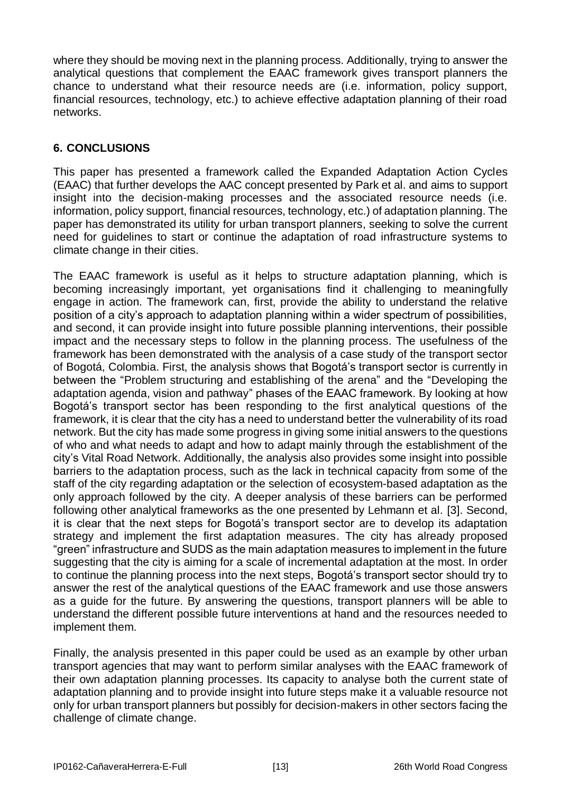where they should be moving next in the planning process. Additionally, trying to answer the analytical questions that complement the EAAC framework gives transport planners the chance to understand what their resource needs are (i.e. information, policy support, financial resources, technology, etc.) to achieve effective adaptation planning of their road networks.

## **6. CONCLUSIONS**

This paper has presented a framework called the Expanded Adaptation Action Cycles (EAAC) that further develops the AAC concept presented by Park et al. and aims to support insight into the decision-making processes and the associated resource needs (i.e. information, policy support, financial resources, technology, etc.) of adaptation planning. The paper has demonstrated its utility for urban transport planners, seeking to solve the current need for guidelines to start or continue the adaptation of road infrastructure systems to climate change in their cities.

The EAAC framework is useful as it helps to structure adaptation planning, which is becoming increasingly important, yet organisations find it challenging to meaningfully engage in action. The framework can, first, provide the ability to understand the relative position of a city's approach to adaptation planning within a wider spectrum of possibilities, and second, it can provide insight into future possible planning interventions, their possible impact and the necessary steps to follow in the planning process. The usefulness of the framework has been demonstrated with the analysis of a case study of the transport sector of Bogotá, Colombia. First, the analysis shows that Bogotá's transport sector is currently in between the "Problem structuring and establishing of the arena" and the "Developing the adaptation agenda, vision and pathway" phases of the EAAC framework. By looking at how Bogotá's transport sector has been responding to the first analytical questions of the framework, it is clear that the city has a need to understand better the vulnerability of its road network. But the city has made some progress in giving some initial answers to the questions of who and what needs to adapt and how to adapt mainly through the establishment of the city's Vital Road Network. Additionally, the analysis also provides some insight into possible barriers to the adaptation process, such as the lack in technical capacity from some of the staff of the city regarding adaptation or the selection of ecosystem-based adaptation as the only approach followed by the city. A deeper analysis of these barriers can be performed following other analytical frameworks as the one presented by Lehmann et al. [3]. Second, it is clear that the next steps for Bogotá's transport sector are to develop its adaptation strategy and implement the first adaptation measures. The city has already proposed "green" infrastructure and SUDS as the main adaptation measures to implement in the future suggesting that the city is aiming for a scale of incremental adaptation at the most. In order to continue the planning process into the next steps, Bogotá's transport sector should try to answer the rest of the analytical questions of the EAAC framework and use those answers as a guide for the future. By answering the questions, transport planners will be able to understand the different possible future interventions at hand and the resources needed to implement them.

Finally, the analysis presented in this paper could be used as an example by other urban transport agencies that may want to perform similar analyses with the EAAC framework of their own adaptation planning processes. Its capacity to analyse both the current state of adaptation planning and to provide insight into future steps make it a valuable resource not only for urban transport planners but possibly for decision-makers in other sectors facing the challenge of climate change.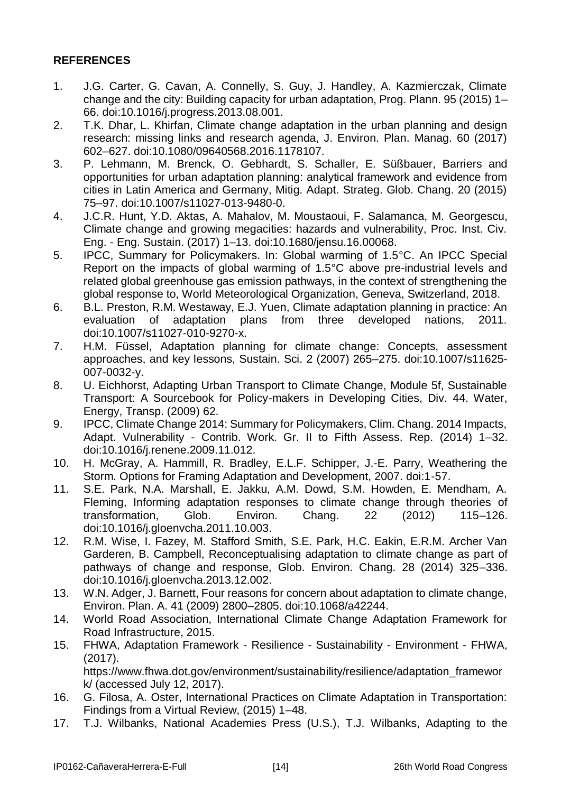## **REFERENCES**

- 1. J.G. Carter, G. Cavan, A. Connelly, S. Guy, J. Handley, A. Kazmierczak, Climate change and the city: Building capacity for urban adaptation, Prog. Plann. 95 (2015) 1– 66. doi:10.1016/j.progress.2013.08.001.
- 2. T.K. Dhar, L. Khirfan, Climate change adaptation in the urban planning and design research: missing links and research agenda, J. Environ. Plan. Manag. 60 (2017) 602–627. doi:10.1080/09640568.2016.1178107.
- 3. P. Lehmann, M. Brenck, O. Gebhardt, S. Schaller, E. Süßbauer, Barriers and opportunities for urban adaptation planning: analytical framework and evidence from cities in Latin America and Germany, Mitig. Adapt. Strateg. Glob. Chang. 20 (2015) 75–97. doi:10.1007/s11027-013-9480-0.
- 4. J.C.R. Hunt, Y.D. Aktas, A. Mahalov, M. Moustaoui, F. Salamanca, M. Georgescu, Climate change and growing megacities: hazards and vulnerability, Proc. Inst. Civ. Eng. - Eng. Sustain. (2017) 1–13. doi:10.1680/jensu.16.00068.
- 5. IPCC, Summary for Policymakers. In: Global warming of 1.5°C. An IPCC Special Report on the impacts of global warming of 1.5°C above pre-industrial levels and related global greenhouse gas emission pathways, in the context of strengthening the global response to, World Meteorological Organization, Geneva, Switzerland, 2018.
- 6. B.L. Preston, R.M. Westaway, E.J. Yuen, Climate adaptation planning in practice: An evaluation of adaptation plans from three developed nations, 2011. doi:10.1007/s11027-010-9270-x.
- 7. H.M. Füssel, Adaptation planning for climate change: Concepts, assessment approaches, and key lessons, Sustain. Sci. 2 (2007) 265–275. doi:10.1007/s11625- 007-0032-y.
- 8. U. Eichhorst, Adapting Urban Transport to Climate Change, Module 5f, Sustainable Transport: A Sourcebook for Policy-makers in Developing Cities, Div. 44. Water, Energy, Transp. (2009) 62.
- 9. IPCC, Climate Change 2014: Summary for Policymakers, Clim. Chang. 2014 Impacts, Adapt. Vulnerability - Contrib. Work. Gr. II to Fifth Assess. Rep. (2014) 1–32. doi:10.1016/j.renene.2009.11.012.
- 10. H. McGray, A. Hammill, R. Bradley, E.L.F. Schipper, J.-E. Parry, Weathering the Storm. Options for Framing Adaptation and Development, 2007. doi:1-57.
- 11. S.E. Park, N.A. Marshall, E. Jakku, A.M. Dowd, S.M. Howden, E. Mendham, A. Fleming, Informing adaptation responses to climate change through theories of transformation, Glob. Environ. Chang. 22 (2012) 115–126. doi:10.1016/j.gloenvcha.2011.10.003.
- 12. R.M. Wise, I. Fazey, M. Stafford Smith, S.E. Park, H.C. Eakin, E.R.M. Archer Van Garderen, B. Campbell, Reconceptualising adaptation to climate change as part of pathways of change and response, Glob. Environ. Chang. 28 (2014) 325–336. doi:10.1016/j.gloenvcha.2013.12.002.
- 13. W.N. Adger, J. Barnett, Four reasons for concern about adaptation to climate change, Environ. Plan. A. 41 (2009) 2800–2805. doi:10.1068/a42244.
- 14. World Road Association, International Climate Change Adaptation Framework for Road Infrastructure, 2015.
- 15. FHWA, Adaptation Framework Resilience Sustainability Environment FHWA, (2017).

https://www.fhwa.dot.gov/environment/sustainability/resilience/adaptation\_framewor k/ (accessed July 12, 2017).

- 16. G. Filosa, A. Oster, International Practices on Climate Adaptation in Transportation: Findings from a Virtual Review, (2015) 1–48.
- 17. T.J. Wilbanks, National Academies Press (U.S.), T.J. Wilbanks, Adapting to the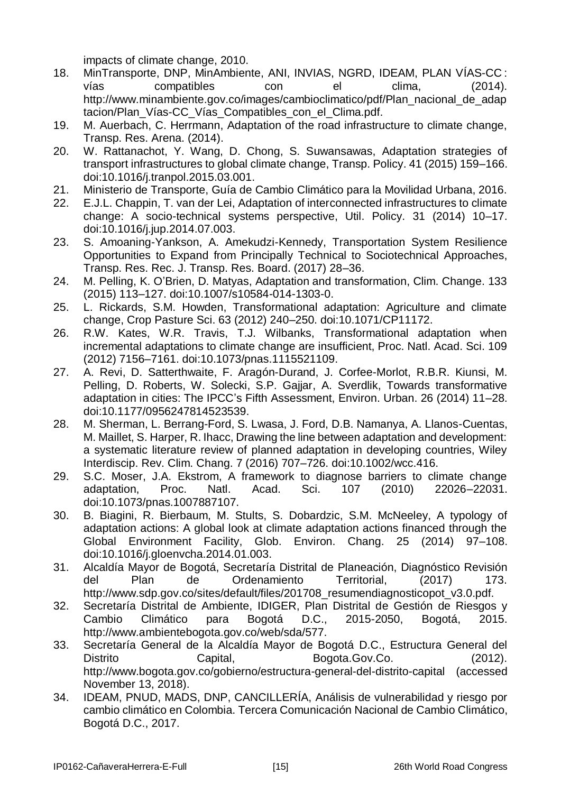impacts of climate change, 2010.

- 18. MinTransporte, DNP, MinAmbiente, ANI, INVIAS, NGRD, IDEAM, PLAN VÍAS-CC : vías compatibles con el clima, (2014). http://www.minambiente.gov.co/images/cambioclimatico/pdf/Plan\_nacional\_de\_adap tacion/Plan\_Vías-CC\_Vías\_Compatibles\_con\_el\_Clima.pdf.
- 19. M. Auerbach, C. Herrmann, Adaptation of the road infrastructure to climate change, Transp. Res. Arena. (2014).
- 20. W. Rattanachot, Y. Wang, D. Chong, S. Suwansawas, Adaptation strategies of transport infrastructures to global climate change, Transp. Policy. 41 (2015) 159–166. doi:10.1016/j.tranpol.2015.03.001.
- 21. Ministerio de Transporte, Guía de Cambio Climático para la Movilidad Urbana, 2016.
- 22. E.J.L. Chappin, T. van der Lei, Adaptation of interconnected infrastructures to climate change: A socio-technical systems perspective, Util. Policy. 31 (2014) 10–17. doi:10.1016/j.jup.2014.07.003.
- 23. S. Amoaning-Yankson, A. Amekudzi-Kennedy, Transportation System Resilience Opportunities to Expand from Principally Technical to Sociotechnical Approaches, Transp. Res. Rec. J. Transp. Res. Board. (2017) 28–36.
- 24. M. Pelling, K. O'Brien, D. Matyas, Adaptation and transformation, Clim. Change. 133 (2015) 113–127. doi:10.1007/s10584-014-1303-0.
- 25. L. Rickards, S.M. Howden, Transformational adaptation: Agriculture and climate change, Crop Pasture Sci. 63 (2012) 240–250. doi:10.1071/CP11172.
- 26. R.W. Kates, W.R. Travis, T.J. Wilbanks, Transformational adaptation when incremental adaptations to climate change are insufficient, Proc. Natl. Acad. Sci. 109 (2012) 7156–7161. doi:10.1073/pnas.1115521109.
- 27. A. Revi, D. Satterthwaite, F. Aragón-Durand, J. Corfee-Morlot, R.B.R. Kiunsi, M. Pelling, D. Roberts, W. Solecki, S.P. Gajjar, A. Sverdlik, Towards transformative adaptation in cities: The IPCC's Fifth Assessment, Environ. Urban. 26 (2014) 11–28. doi:10.1177/0956247814523539.
- 28. M. Sherman, L. Berrang-Ford, S. Lwasa, J. Ford, D.B. Namanya, A. Llanos-Cuentas, M. Maillet, S. Harper, R. Ihacc, Drawing the line between adaptation and development: a systematic literature review of planned adaptation in developing countries, Wiley Interdiscip. Rev. Clim. Chang. 7 (2016) 707–726. doi:10.1002/wcc.416.
- 29. S.C. Moser, J.A. Ekstrom, A framework to diagnose barriers to climate change adaptation, Proc. Natl. Acad. Sci. 107 (2010) 22026–22031. doi:10.1073/pnas.1007887107.
- 30. B. Biagini, R. Bierbaum, M. Stults, S. Dobardzic, S.M. McNeeley, A typology of adaptation actions: A global look at climate adaptation actions financed through the Global Environment Facility, Glob. Environ. Chang. 25 (2014) 97–108. doi:10.1016/j.gloenvcha.2014.01.003.
- 31. Alcaldía Mayor de Bogotá, Secretaría Distrital de Planeación, Diagnóstico Revisión del Plan de Ordenamiento Territorial, (2017) 173. http://www.sdp.gov.co/sites/default/files/201708\_resumendiagnosticopot\_v3.0.pdf.
- 32. Secretaría Distrital de Ambiente, IDIGER, Plan Distrital de Gestión de Riesgos y Cambio Climático para Bogotá D.C., 2015-2050, Bogotá, 2015. http://www.ambientebogota.gov.co/web/sda/577.
- 33. Secretaría General de la Alcaldía Mayor de Bogotá D.C., Estructura General del Distrito Capital, Bogota.Gov.Co. (2012). http://www.bogota.gov.co/gobierno/estructura-general-del-distrito-capital (accessed November 13, 2018).
- 34. IDEAM, PNUD, MADS, DNP, CANCILLERÍA, Análisis de vulnerabilidad y riesgo por cambio climático en Colombia. Tercera Comunicación Nacional de Cambio Climático, Bogotá D.C., 2017.